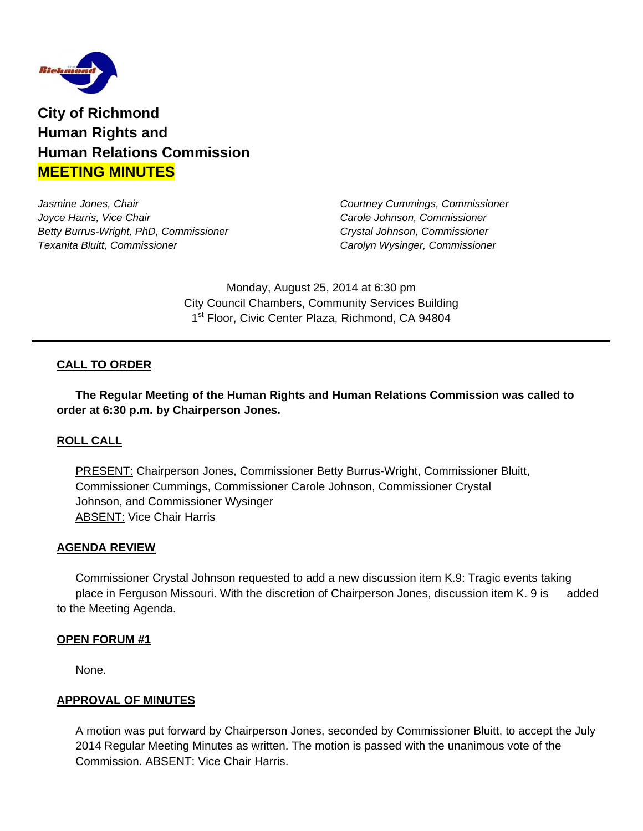

**City of Richmond Human Rights and Human Relations Commission MEETING MINUTES**

*Jasmine Jones, Chair Courtney Cummings, Commissioner Joyce Harris, Vice Chair Carole Johnson, Commissioner Betty Burrus-Wright, PhD, Commissioner Crystal Johnson, Commissioner Texanita Bluitt, Commissioner Carolyn Wysinger, Commissioner* 

Monday, August 25, 2014 at 6:30 pm City Council Chambers, Community Services Building 1<sup>st</sup> Floor, Civic Center Plaza, Richmond, CA 94804

# **CALL TO ORDER**

 **The Regular Meeting of the Human Rights and Human Relations Commission was called to order at 6:30 p.m. by Chairperson Jones.** 

# **ROLL CALL**

PRESENT: Chairperson Jones, Commissioner Betty Burrus-Wright, Commissioner Bluitt, Commissioner Cummings, Commissioner Carole Johnson, Commissioner Crystal Johnson, and Commissioner Wysinger ABSENT: Vice Chair Harris

### **AGENDA REVIEW**

 Commissioner Crystal Johnson requested to add a new discussion item K.9: Tragic events taking place in Ferguson Missouri. With the discretion of Chairperson Jones, discussion item K. 9 is added to the Meeting Agenda.

#### **OPEN FORUM #1**

None.

### **APPROVAL OF MINUTES**

A motion was put forward by Chairperson Jones, seconded by Commissioner Bluitt, to accept the July 2014 Regular Meeting Minutes as written. The motion is passed with the unanimous vote of the Commission. ABSENT: Vice Chair Harris.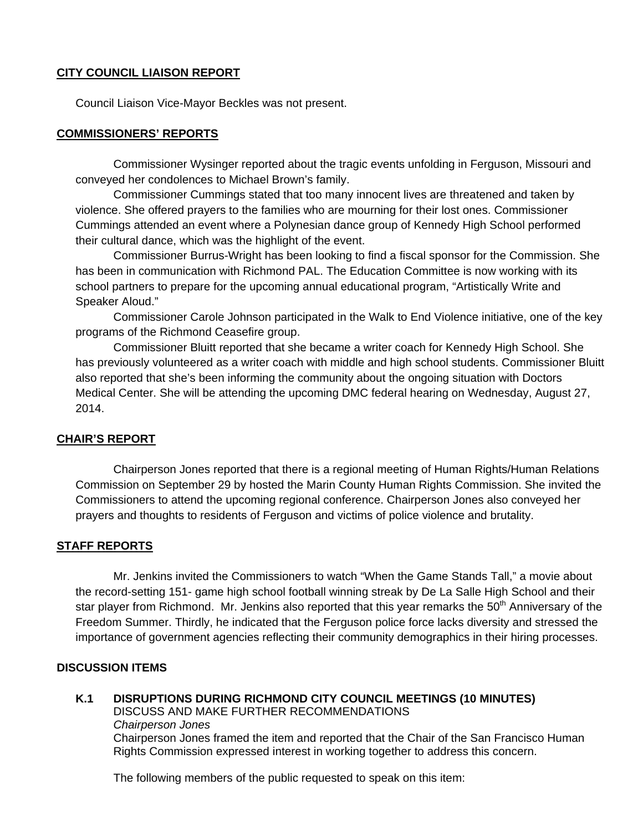# **CITY COUNCIL LIAISON REPORT**

Council Liaison Vice-Mayor Beckles was not present.

# **COMMISSIONERS' REPORTS**

 Commissioner Wysinger reported about the tragic events unfolding in Ferguson, Missouri and conveyed her condolences to Michael Brown's family.

 Commissioner Cummings stated that too many innocent lives are threatened and taken by violence. She offered prayers to the families who are mourning for their lost ones. Commissioner Cummings attended an event where a Polynesian dance group of Kennedy High School performed their cultural dance, which was the highlight of the event.

 Commissioner Burrus-Wright has been looking to find a fiscal sponsor for the Commission. She has been in communication with Richmond PAL. The Education Committee is now working with its school partners to prepare for the upcoming annual educational program, "Artistically Write and Speaker Aloud."

 Commissioner Carole Johnson participated in the Walk to End Violence initiative, one of the key programs of the Richmond Ceasefire group.

 Commissioner Bluitt reported that she became a writer coach for Kennedy High School. She has previously volunteered as a writer coach with middle and high school students. Commissioner Bluitt also reported that she's been informing the community about the ongoing situation with Doctors Medical Center. She will be attending the upcoming DMC federal hearing on Wednesday, August 27, 2014.

### **CHAIR'S REPORT**

Chairperson Jones reported that there is a regional meeting of Human Rights/Human Relations Commission on September 29 by hosted the Marin County Human Rights Commission. She invited the Commissioners to attend the upcoming regional conference. Chairperson Jones also conveyed her prayers and thoughts to residents of Ferguson and victims of police violence and brutality.

### **STAFF REPORTS**

 Mr. Jenkins invited the Commissioners to watch "When the Game Stands Tall," a movie about the record-setting 151- game high school football winning streak by De La Salle High School and their star player from Richmond. Mr. Jenkins also reported that this year remarks the 50<sup>th</sup> Anniversary of the Freedom Summer. Thirdly, he indicated that the Ferguson police force lacks diversity and stressed the importance of government agencies reflecting their community demographics in their hiring processes.

### **DISCUSSION ITEMS**

**K.1 DISRUPTIONS DURING RICHMOND CITY COUNCIL MEETINGS (10 MINUTES)**  DISCUSS AND MAKE FURTHER RECOMMENDATIONS *Chairperson Jones*  Chairperson Jones framed the item and reported that the Chair of the San Francisco Human Rights Commission expressed interest in working together to address this concern.

The following members of the public requested to speak on this item: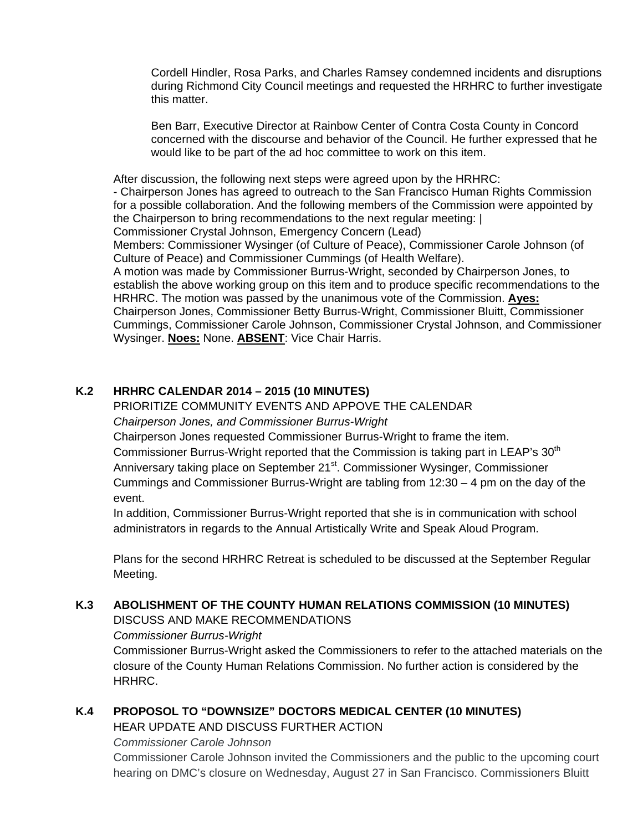Cordell Hindler, Rosa Parks, and Charles Ramsey condemned incidents and disruptions during Richmond City Council meetings and requested the HRHRC to further investigate this matter.

Ben Barr, Executive Director at Rainbow Center of Contra Costa County in Concord concerned with the discourse and behavior of the Council. He further expressed that he would like to be part of the ad hoc committee to work on this item.

After discussion, the following next steps were agreed upon by the HRHRC: - Chairperson Jones has agreed to outreach to the San Francisco Human Rights Commission for a possible collaboration. And the following members of the Commission were appointed by the Chairperson to bring recommendations to the next regular meeting: | Commissioner Crystal Johnson, Emergency Concern (Lead)

Members: Commissioner Wysinger (of Culture of Peace), Commissioner Carole Johnson (of Culture of Peace) and Commissioner Cummings (of Health Welfare).

A motion was made by Commissioner Burrus-Wright, seconded by Chairperson Jones, to establish the above working group on this item and to produce specific recommendations to the HRHRC. The motion was passed by the unanimous vote of the Commission. **Ayes:** Chairperson Jones, Commissioner Betty Burrus-Wright, Commissioner Bluitt, Commissioner Cummings, Commissioner Carole Johnson, Commissioner Crystal Johnson, and Commissioner Wysinger. **Noes:** None. **ABSENT**: Vice Chair Harris.

# **K.2 HRHRC CALENDAR 2014 – 2015 (10 MINUTES)**

## PRIORITIZE COMMUNITY EVENTS AND APPOVE THE CALENDAR  *Chairperson Jones, and Commissioner Burrus-Wright*

Chairperson Jones requested Commissioner Burrus-Wright to frame the item. Commissioner Burrus-Wright reported that the Commission is taking part in LEAP's 30<sup>th</sup> Anniversary taking place on September 21<sup>st</sup>. Commissioner Wysinger, Commissioner Cummings and Commissioner Burrus-Wright are tabling from  $12:30 - 4$  pm on the day of the event.

 In addition, Commissioner Burrus-Wright reported that she is in communication with school administrators in regards to the Annual Artistically Write and Speak Aloud Program.

 Plans for the second HRHRC Retreat is scheduled to be discussed at the September Regular Meeting.

# **K.3 ABOLISHMENT OF THE COUNTY HUMAN RELATIONS COMMISSION (10 MINUTES)**

DISCUSS AND MAKE RECOMMENDATIONS

 *Commissioner Burrus-Wright*

Commissioner Burrus-Wright asked the Commissioners to refer to the attached materials on the closure of the County Human Relations Commission. No further action is considered by the HRHRC.

# **K.4 PROPOSOL TO "DOWNSIZE" DOCTORS MEDICAL CENTER (10 MINUTES)**

HEAR UPDATE AND DISCUSS FURTHER ACTION

 *Commissioner Carole Johnson* 

Commissioner Carole Johnson invited the Commissioners and the public to the upcoming court hearing on DMC's closure on Wednesday, August 27 in San Francisco. Commissioners Bluitt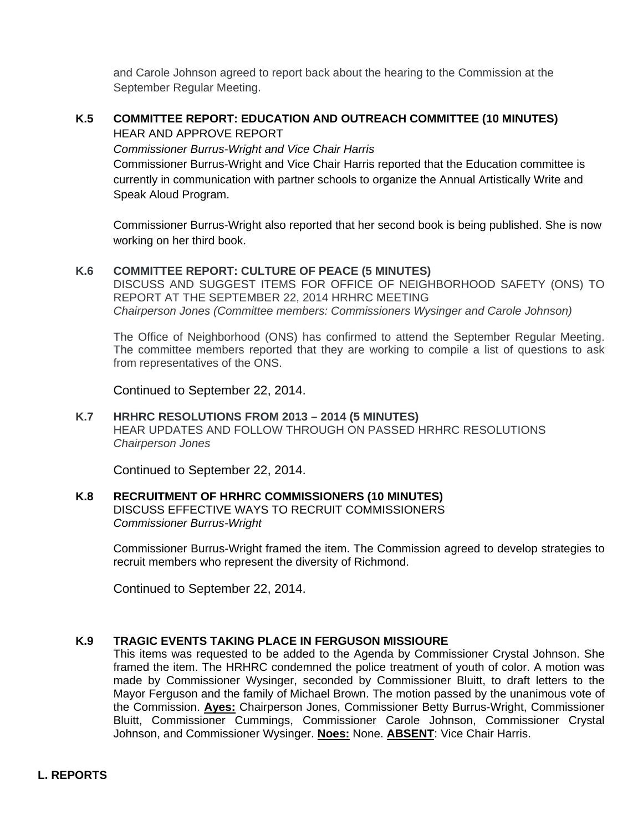and Carole Johnson agreed to report back about the hearing to the Commission at the September Regular Meeting.

# **K.5 COMMITTEE REPORT: EDUCATION AND OUTREACH COMMITTEE (10 MINUTES)**  HEAR AND APPROVE REPORT

*Commissioner Burrus-Wright and Vice Chair Harris* 

Commissioner Burrus-Wright and Vice Chair Harris reported that the Education committee is currently in communication with partner schools to organize the Annual Artistically Write and Speak Aloud Program.

Commissioner Burrus-Wright also reported that her second book is being published. She is now working on her third book.

# **K.6 COMMITTEE REPORT: CULTURE OF PEACE (5 MINUTES)**

DISCUSS AND SUGGEST ITEMS FOR OFFICE OF NEIGHBORHOOD SAFETY (ONS) TO REPORT AT THE SEPTEMBER 22, 2014 HRHRC MEETING *Chairperson Jones (Committee members: Commissioners Wysinger and Carole Johnson)* 

The Office of Neighborhood (ONS) has confirmed to attend the September Regular Meeting. The committee members reported that they are working to compile a list of questions to ask from representatives of the ONS.

Continued to September 22, 2014.

# **K.7 HRHRC RESOLUTIONS FROM 2013 – 2014 (5 MINUTES)**

HEAR UPDATES AND FOLLOW THROUGH ON PASSED HRHRC RESOLUTIONS *Chairperson Jones*

Continued to September 22, 2014.

# **K.8****RECRUITMENT OF HRHRC COMMISSIONERS (10 MINUTES)**

DISCUSS EFFECTIVE WAYS TO RECRUIT COMMISSIONERS *Commissioner Burrus-Wright* 

Commissioner Burrus-Wright framed the item. The Commission agreed to develop strategies to recruit members who represent the diversity of Richmond.

Continued to September 22, 2014.

## **K.9 TRAGIC EVENTS TAKING PLACE IN FERGUSON MISSIOURE**

This items was requested to be added to the Agenda by Commissioner Crystal Johnson. She framed the item. The HRHRC condemned the police treatment of youth of color. A motion was made by Commissioner Wysinger, seconded by Commissioner Bluitt, to draft letters to the Mayor Ferguson and the family of Michael Brown. The motion passed by the unanimous vote of the Commission. **Ayes:** Chairperson Jones, Commissioner Betty Burrus-Wright, Commissioner Bluitt, Commissioner Cummings, Commissioner Carole Johnson, Commissioner Crystal Johnson, and Commissioner Wysinger. **Noes:** None. **ABSENT**: Vice Chair Harris.